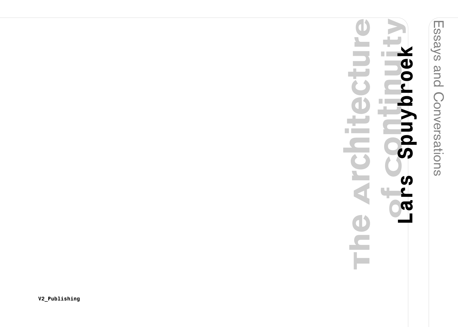Essays and Conversations

## **of Continuity The Architecture Lars Spuybroek** Y П. **POel** avn  $\blacksquare$ ÷  $\overline{S}$  $\overline{\mathbf{C}}$ <u>91</u>  $\overline{\phantom{a}}$ G  $\overline{\mathbf{a}}$ 1 Е

**V 2 \_ P u b l i s h i n g**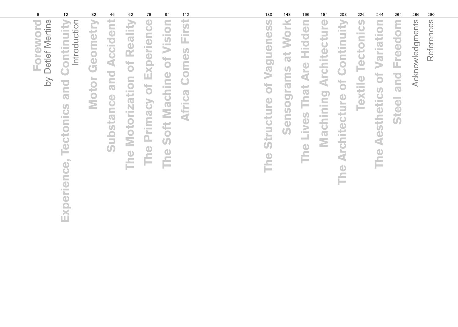| 6                                            | 12                                                                             | 32                | 46                            | 62                                  | 76                                 | 94                                                   | 112                                 | 130                                | 148                             | 166                                            | 184                                          | 208                                         | 226                      | 244                            | 264                            | 286             | 290        |
|----------------------------------------------|--------------------------------------------------------------------------------|-------------------|-------------------------------|-------------------------------------|------------------------------------|------------------------------------------------------|-------------------------------------|------------------------------------|---------------------------------|------------------------------------------------|----------------------------------------------|---------------------------------------------|--------------------------|--------------------------------|--------------------------------|-----------------|------------|
| Detlef Mertins<br>Foreword<br>$\overline{b}$ | Continuity<br>Introduction<br>po<br>$\overline{O}$<br>Tectonics<br>Experience, | Geometry<br>Motor | <b>Substance and Accident</b> | Reality<br>Motorization of<br>The I | Experience<br>to<br>Primacy<br>The | S<br>Visi<br><b>Machine of</b><br>Soft<br><b>The</b> | <b>is</b><br><b>Africa Comes Fi</b> | Vagueness<br>ð<br>Structure<br>The | <b>Work</b><br>at<br>Sensograms | <b>Lives That Are Hidden</b><br>$\bullet$<br>Ě | $\bullet$<br><b>Architectur</b><br>Machining | of Continuity<br><b>Architecture</b><br>The | <b>Textile Tectonics</b> | Variation<br>The Aesthetics of | <b>Freedom</b><br>one<br>Steel | Acknowledgments | References |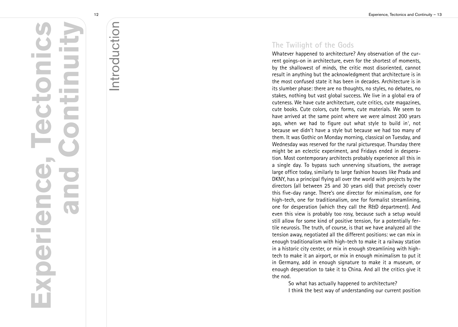# Introduction Introduction

**Experience, Tectonics**

 $\overline{\mathbf{a}}$ 

**The Co** 

Expel

**TA** 

**and Continuity**

### The Twilight of the Gods

Whatever happened to architecture? Any observation of the current goings-on in architecture, even for the shortest of moments, by the shallowest of minds, the critic most disoriented, cannot result in anything but the acknowledgment that architecture is in the most confused state it has been in decades. Architecture is in its slumber phase: there are no thoughts, no styles, no debates, no stakes, nothing but vast global success. We live in a global era of cuteness. We have cute architecture, cute critics, cute magazines, cute books. Cute colors, cute forms, cute materials. We seem to have arrived at the same point where we were almost 200 years ago, when we had to figure out what style to build in', not because we didn't have a style but because we had too many of them. It was Gothic on Monday morning, classical on Tuesday, and Wednesday was reserved for the rural picturesque. Thursday there might be an eclectic experiment, and Fridays ended in desperation. Most contemporary architects probably experience all this in a single day. To bypass such unnerving situations, the average large office today, similarly to large fashion houses like Prada and DKNY, has a principal flying all over the world with projects by the directors (all between 25 and 30 years old) that precisely cover this five-day range. There's one director for minimalism, one for high-tech, one for traditionalism, one for formalist streamlining, one for desperation (which they call the R&D department). And even this view is probably too rosy, because such a setup would still allow for some kind of positive tension, for a potentially fertile neurosis. The truth, of course, is that we have analyzed all the tension away, negotiated all the different positions: we can mix in enough traditionalism with high-tech to make it a railway station in a historic city center, or mix in enough streamlining with hightech to make it an airport, or mix in enough minimalism to put it in Germany, add in enough signature to make it a museum, or enough desperation to take it to China. And all the critics give it t h e n o d

1.<br>So what has actually happened to architecture? I think the best way of understanding our current position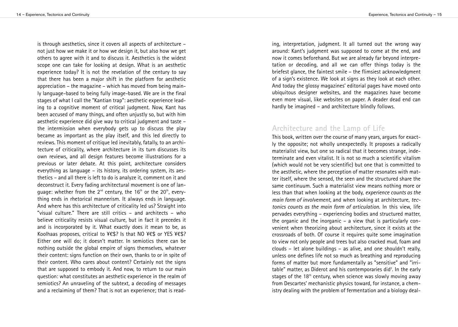Experience, Tectonics and Continuity – 15

is through aesthetics, since it covers all aspects of architecture – not just how we make it or how we design it, but also how we get others to agree with it and to discuss it. Aesthetics is the widest scope one can take for looking at design. What is an aesthetic experience today? It is not the revelation of the century to say that there has been a major shift in the platform for aesthetic appreciation – the magazine – which has moved from being mainly language-based to being fully image-based. We are in the final stages of what I call the "Kantian trap": aesthetic experience leading to a cognitive moment of critical judgment. Now, Kant has been accused of many things, and often unjustly so, but with him aesthetic experience did give way to critical judgment and taste – the intermission when everybody gets up to discuss the play became as important as the play itself, and this led directly to reviews. This moment of critique led inevitably, fatally, to an architecture of criticality, where architecture in its turn discusses its own reviews, and all design features become illustrations for a previous or later debate. At this point, architecture considers everything as language – its history, its ordering system, its aesthetics – and all there is left to do is analyze it, comment on it and deconstruct it. Every fading architectural movement is one of language: whether from the 2<sup>nd</sup> century, the 16<sup>th</sup> or the 20<sup>th</sup>, everything ends in rhetorical mannerism. It always ends in language. And where has this architecture of criticality led us? Straight into "visual culture." There are still critics – and architects – who believe criticality resists visual culture, but in fact it precedes it and is incorporated by it. What exactly does it mean to be, as Koolhaas proposes, critical to ¥€\$? Is that NO ¥€\$ or YES ¥€\$? Either one will do; it doesn't matter. In semiotics there can be nothing outside the global empire of signs themselves, whatever their content: signs function on their own, thanks to or in spite of their content. Who cares about content? Certainly not the signs that are supposed to embody it. And now, to return to our main question: what constitutes an aesthetic experience in the realm of semiotics? An unraveling of the subtext, a decoding of messages and a reclaiming of them? That is not an experience; that is read-

ing, interpretation, judgment. It all turned out the wrong way around: Kant's judgment was supposed to come at the end, and now it comes beforehand. But we are already far beyond interpretation or decoding, and all we can offer things today is the briefest glance, the faintest smile – the flimsiest acknowledgment of a sign's existence. We look at signs as they look at each other. And today the glossy magazines' editorial pages have moved onto ubiquitous designer websites, and the magazines have become even more visual, like websites on paper. A deader dead end can hardly be imagined – and architecture blindly follows.

#### **Architecture and the Lamp of Life**

This book, written over the course of many years, argues for exactly the opposite; not wholly unexpectedly. It proposes a radically materialist view, but one so radical that it becomes strange, indeterminate and even vitalist. It is not so much a scientific vitalism (which would not be very scientific) but one that is committed to the aesthetic, where the perception of matter resonates with matter itself, where the sensed, the seen and the structured share the same continuum. Such a materialist view means nothing more or less than that when looking at the body, *experience counts as the main form of involvement*, and when looking at architecture, *tectonics counts as the main form of articulation*. In this view, life pervades everything – experiencing bodies and structured matter, the organic and the inorganic – a view that is particularly convenient when theorizing about architecture, since it exists at the crossroads of both. Of course it requires quite some imagination to view not only people and trees but also cracked mud, foam and clouds – let alone buildings – as alive, and one shouldn't really, unless one defines life not so much as breathing and reproducing forms of matter but more fundamentally as "sensitive" and "irritable" matter, as Diderot and his contemporaries did<sup>2</sup>. In the early stages of the 18<sup>th</sup> century, when science was slowly moving away from Descartes' mechanistic physics toward, for instance, a chemistry dealing with the problem of fermentation and a biology deal-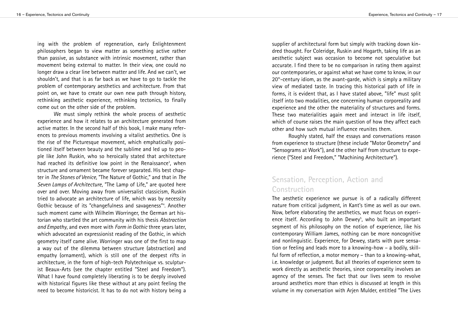ing with the problem of regeneration, early Enlightenment philosophers began to view matter as something active rather than passive, as substance with intrinsic movement, rather than movement being external to matter. In their view, one could no longer draw a clear line between matter and life. And we can't, we shouldn't, and that is as far back as we have to go to tackle the problem of contemporary aesthetics and architecture. From that point on, we have to create our own new path through history, rethinking aesthetic experience, rethinking tectonics, to finally come out on the other side of the problem.

We must simply rethink the whole process of aesthetic experience and how it relates to an architecture generated from active matter. In the second half of this book, I make many references to previous moments involving a vitalist aesthetics. One is the rise of the Picturesque movement, which emphatically positioned itself between beauty and the sublime and led up to people like John Ruskin, who so heroically stated that architecture had reached its definitive low point in the Renaissance<sup>3</sup>, when structure and ornament became forever separated. His best chapter in *The Stones of Venice*, "The Nature of Gothic," and that in *The Seven Lamps of Architecture*, "The Lamp of Life," are quoted here over and over. Moving away from universalist classicism, Ruskin tried to advocate an architecture of life, which was by necessity Gothic because of its "changefulness and savageness" 4 . Another such moment came with Wilhelm Worringer, the German art historian who startled the art community with his thesis *Abstraction and Empathy*, and even more with *Form in Gothic* three years later, which advocated an expressionist reading of the Gothic, in which geometry itself came alive. Worringer was one of the first to map a way out of the dilemma between structure (abstraction) and empathy (ornament), which is still one of the deepest rifts in architecture, in the form of high-tech Polytechnique vs. sculpturist Beaux-Arts (see the chapter entitled "Steel and Freedom"). What I have found completely liberating is to be deeply involved with historical figures like these without at any point feeling the need to become historicist. It has to do not with history being a

supplier of architectural form but simply with tracking down kindred thought. For Coleridge, Ruskin and Hogarth, taking life as an aesthetic subject was occasion to become not speculative but accurate. I find there to be no comparison in rating them against our contemporaries, or against what we have come to know, in our 20<sup>th</sup>-century idiom, as the avant-garde, which is simply a military view of mediated taste. In tracing this historical path of life in forms, it is evident that, as I have stated above, "life" must split itself into two modalities, one concerning human corporeality and experience and the other the materiality of structures and forms. These two materialities again meet and interact in life itself, which of course raises the main question of how they affect each other and how such mutual influence reunites them.

Roughly stated, half the essays and conversations reason from experience to structure (these include "Motor Geometry" and "Sensograms at Work"), and the other half from structure to experience ("Steel and Freedom," "Machining Architecture").

#### **Sensation, Perception, Action and Construction**

The aesthetic experience we pursue is of a radically different nature from critical judgment, in Kant's time as well as our own. Now, before elaborating the aesthetics, we must focus on experience itself. According to John Dewey<sup>5</sup>, who built an important segment of his philosophy on the notion of experience, like his contemporary William James, nothing can be more noncognitive and nonlinguistic. Experience, for Dewey, starts with pure sensation or feeling and leads more to a knowing-how – a bodily, skillful form of reflection, a motor memory – than to a knowing-what, i.e. knowledge or judgment. But all theories of experience seem to work directly as aesthetic theories, since corporeality involves an agency of the senses. The fact that our lives seem to revolve around aesthetics more than ethics is discussed at length in this volume in my conversation with Arjen Mulder, entitled "The Lives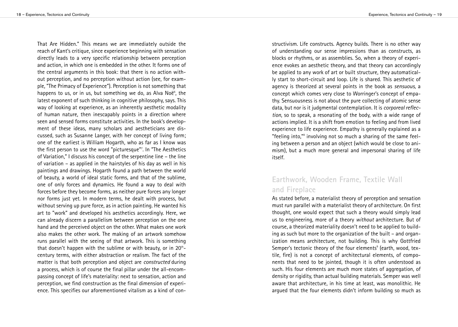That Are Hidden." This means we are immediately outside the reach of Kant's critique, since experience beginning with sensation directly leads to a very specific relationship between perception and action, in which one is embedded in the other. It forms one of the central arguments in this book: that there is no action without perception, and no perception without action (see, for example, "The Primacy of Experience"). Perception is not something that happens to us, or in us, but something we do, as Alva Noë<sup>6</sup>, the latest exponent of such thinking in cognitive philosophy, says. This way of looking at experience, as an inherently aesthetic modality of human nature, then inescapably points in a direction where seen and sensed forms constitute activities. In the book's development of these ideas, many scholars and aestheticians are discussed, such as Susanne Langer, with her concept of living form; one of the earliest is William Hogarth, who as far as I know was the first person to use the word "picturesque" 7 . In "The Aesthetics of Variation," I discuss his concept of the serpentine line – the line of variation – as applied in the hairstyles of his day as well in his paintings and drawings. Hogarth found a path between the world of beauty, a world of ideal static forms, and that of the sublime, one of only forces and dynamics. He found a way to deal with forces before they become forms, as neither pure forces any longer nor forms just yet. In modern terms, he dealt with process, but without serving up pure force, as in action painting. He wanted his art to "work" and developed his aesthetics accordingly. Here, we can already discern a parallelism between perception on the one hand and the perceived object on the other. What makes one work also makes the other work. The making of an artwork somehow runs parallel with the seeing of that artwork. This is something that doesn't happen with the sublime or with beauty, or in  $20<sup>th</sup>$ century terms, with either abstraction or realism. The fact of the matter is that both perception and object are *constructed* during a process, which is of course the final pillar under the all-encompassing concept of life's materiality: next to sensation, action and perception, we find construction as the final dimension of experience. This specifies our aforementioned vitalism as a kind of con-

structivism. Life constructs. Agency builds. There is no other way of understanding our sense impressions than as constructs, as blocks or rhythms, or as assemblies. So, when a theory of experience evokes an aesthetic theory, and that theory can accordingly be applied to any work of art or built structure, they automatically start to short-circuit and loop. Life is shared. This aesthetic of agency is theorized at several points in the book as *sensuous*, a concept which comes very close to Worringer's concept of empathy. Sensuousness is not about the pure collecting of atomic sense data, but nor is it judgmental contemplation. It is *corporeal reflection*, so to speak, a resonating of the body, with a wide range of actions implied. It is a shift from emotion to feeling and from lived experience to life experience. Empathy is generally explained as a "feeling into," <sup>8</sup> involving not so much a sharing of the same feeling between a person and an object (which would be close to animism), but a much more general and impersonal sharing of life itself.

### **Earthwork, Wooden Frame, Textile Wall and Fireplace**

As stated before, a materialist theory of perception and sensation must run parallel with a materialist theory of architecture. On first thought, one would expect that such a theory would simply lead us to engineering, more of a theory *without* architecture. But of course, a theorized materiality doesn't need to be applied to building as such but more to the organization of the built – and organization means architecture, not building. This is why Gottfried Semper's tectonic theory of the four elements <sup>9</sup> (earth, wood, textile, fire) is not a concept of architectural elements, of components that need to be jointed, though it is often understood as such. His four elements are much more states of aggregation, of density or rigidity, than actual building materials. Semper was well aware that architecture, in his time at least, was monolithic. He argued that the four elements didn't inform building so much as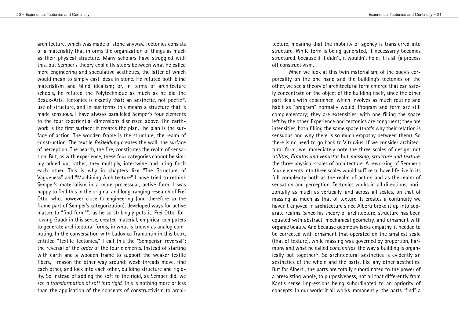architecture, which was made of stone anyway. Tectonics consists of a materiality that informs the organization of things as much as their physical structure. Many scholars have struggled with this, but Semper's theory explicitly steers between what he called mere engineering and speculative aesthetics, the latter of which would mean to simply cast ideas in stone. He refuted both blind materialism and blind idealism; or, in terms of architecture schools, he refuted the Polytechnique as much as he did the Beaux-Arts. Tectonics is exactly that: an aesthetic, not poetic<sup>10</sup>, use of structure, and in our terms this means a structure that is made sensuous. I have always paralleled Semper's four elements to the four experiential dimensions discussed above. The earthwork is the first surface; it creates the plan. The plan is the surface of action. The wooden frame is the structure, the realm of construction. The textile *Bekleidung* creates the wall, the surface of perception. The hearth, the fire, constitutes the realm of sensation. But, as with experience, these four categories cannot be simply added up; rather, they multiply, intertwine and bring forth each other. This is why in chapters like "The Structure of Vagueness" and "Machining Architecture" I have tried to rethink Semper's materialism in a more processual, active form. I was happy to find this in the original and long-ranging research of Frei Otto, who, however close to engineering (and therefore to the frame part of Semper's categorization), developed ways for active matter to "find form"<sup>11</sup>, as he so strikingly puts it. Frei Otto, following Gaudí in this sense, created material, empirical computers to generate architectural forms, in what is known as analog computing. In the conversation with Ludovica Tramontin in this book, entitled "Textile Tectonics," I call this the "Semperian reversal": the reversal of the *order* of the four elements. Instead of starting with earth and a wooden frame to support the weaker textile fibers, I reason the other way around: weak threads move, find each other, and lock into each other, building structure and rigidity. So instead of adding the soft to the rigid, as Semper did, we see *a transformation of soft into rigid*. This is nothing more or less than the application of the concepts of constructivism to architecture, meaning that the mobility of agency is transferred into structure. While form is being generated, it necessarily becomes structured, because if it didn't, it wouldn't hold. It is all (a process of) constructivism.

When we look at this twin materialism, of the body's corporeality on the one hand and the building's tectonics on the other, we see a theory of architectural form emerge that can safely concentrate on the object of the building itself, since the other part deals with experience, which involves as much routine and habit as "program" normally would. Program and form are still complementary; they are extensities, with one filling the space left by the other. Experience and tectonics are congruent; they are intensities, both filling the same space (that's why their relation is sensuous and why there is so much empathy between them). So there is no need to go back to Vitruvius. If we consider architectural form, we immediately note the three scales of design: not *utilitas, firmitas and venustas* but *massing, structure and texture*, the three physical scales of architecture. A reworking of Semper's four elements into three scales would suffice to have life live in its full complexity both as the realm of action and as the realm of sensation and perception. Tectonics works in all directions, horizontally as much as vertically, and across all scales, on that of massing as much as that of texture. It creates a continuity we haven't enjoyed in architecture since Alberti broke it up into separate realms. Since his theory of architecture, structure has been equated with abstract, mechanical geometry, and ornament with organic beauty. And because geometry lacks empathy, it needed to be corrected with ornament that operated on the smallest scale (that of texture), while massing was governed by proportion, harmony and what he called *concinnitas*, the way a building is organically put together<sup>12</sup>. So architectural aesthetics is evidently an aesthetics of the whole and the parts, like any other aesthetics. But for Alberti, the parts are totally subordinated to the power of a preexisting whole, to purposiveness, not all that differently from Kant's sense impressions being subordinated to an apriority of concepts. In our world it all works immanently; the parts "find" a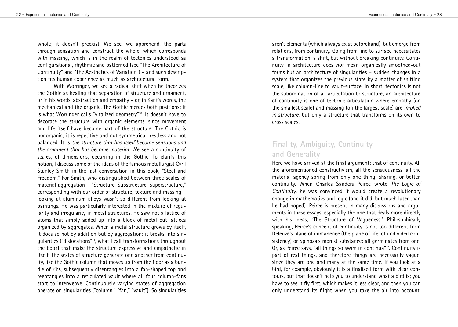whole; it doesn't preexist. We see, we apprehend, the parts through sensation and construct the whole, which corresponds with massing, which is in the realm of tectonics understood as configurational, rhythmic and patterned (see "The Architecture of Continuity" and "The Aesthetics of Variation") – and such description fits human experience as much as architectural form.

With Worringer, we see a radical shift when he theorizes the Gothic as healing that separation of structure and ornament, or in his words, abstraction and empathy – or, in Kant's words, the mechanical and the organic. The Gothic merges both positions; it is what Worringer calls "vitalized geometry"<sup>13</sup>. It doesn't have to decorate the structure with organic elements, since movement and life itself have become part of the structure. The Gothic is nonorganic; it is repetitive and not symmetrical, restless and not balanced. It is *the structure that has itself become sensuous and the ornament that has become material*. We see a continuity of scales, of dimensions, occurring in the Gothic. To clarify this notion, I discuss some of the ideas of the famous metallurgist Cyril Stanley Smith in the last conversation in this book, "Steel and Freedom." For Smith, who distinguished between three scales of material aggregation – "Structure, Substructure, Superstructure," corresponding with our order of structure, texture and massing – looking at aluminum alloys wasn't so different from looking at paintings. He was particularly interested in the mixture of regularity and irregularity in metal structures. He saw not a lattice of atoms that simply added up into a block of metal but lattices organized by aggregates. When a metal structure grows by itself, it does so not by addition but by aggregation: it breaks into singularities ("dislocations" 14 , what I call transformations throughout the book) that make the structure expressive and empathetic in itself. The scales of structure generate one another from continuity, like the Gothic column that moves up from the floor as a bundle of ribs, subsequently disentangles into a fan-shaped top and reentangles into a reticulated vault where all four column-fans start to interweave. Continuously varying states of aggregation operate on singularities ("column," "fan," "vault"). So singularities

aren't elements (which always exist beforehand), but emerge from relations, from continuity. Going from line to surface necessitates a transformation, a shift, but without breaking continuity. Continuity in architecture does *not* mean organically smoothed-out forms but an architecture of singularities – sudden changes in a system that organizes the previous state by a matter of shifting scale, like column-line to vault-surface. In short, tectonics is not the subordination of all articulation to structure; an architecture of continuity is one of tectonic articulation where empathy (on the smallest scale) and massing (on the largest scale) are *implied in structure*, but only a structure that transforms on its own to cross scales.

#### **Finality, Ambiguity, Continuity and Generality**

Here we have arrived at the final argument: that of continuity. All the aforementioned constructivism, all the sensuousness, all the material agency spring from only one thing: sharing, or better, continuity. When Charles Sanders Peirce wrote *The Logic of Continuity*, he was convinced it would create a revolutionary change in mathematics and logic (and it did, but much later than he had hoped). Peirce is present in many discussions and arguments in these essays, especially the one that deals more directly with his ideas, "The Structure of Vagueness." Philosophically speaking, Peirce's concept of continuity is not too different from Deleuze's plane of immanence (the plane of life, of undivided consistency) or Spinoza's monist substance: all germinates from one. Or, as Peirce says, "all things so swim in continua"<sup>15</sup>. Continuity is part of real things, and therefore things are necessarily vague, since they are one and many at the same time. If you look at a bird, for example, obviously it is a finalized form with clear contours, but that doesn't help you to understand what a bird is; you have to see it fly first, which makes it less clear, and then you can only understand its flight when you take the air into account,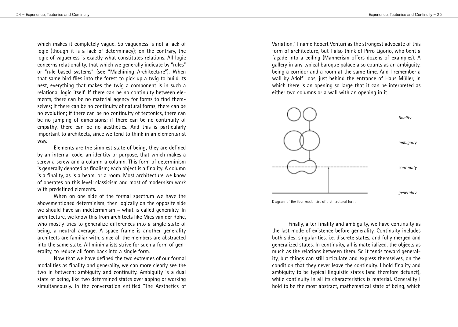which makes it completely vague. So vagueness is not a lack of logic (though it is a lack of determinacy); on the contrary, the logic of vagueness is exactly what constitutes relations. All logic concerns relationality, that which we generally indicate by "rules" or "rule-based systems" (see "Machining Architecture"). When that same bird flies into the forest to pick up a twig to build its nest, everything that makes the twig a component is in such a relational logic itself. If there can be no continuity between elements, there can be no material agency for forms to find themselves; if there can be no continuity of natural forms, there can be no evolution; if there can be no continuity of tectonics, there can be no jumping of dimensions; if there can be no continuity of empathy, there can be no aesthetics. And this is particularly important to architects, since we tend to think in an elementarist way.

Elements are the simplest state of being; they are defined by an internal code, an identity or purpose, that which makes a screw a screw and a column a column. This form of determinism is generally denoted as finalism; each object is a finality. A column is a finality, as is a beam, or a room. Most architecture we know of operates on this level: classicism and most of modernism work with predefined elements.

When on one side of the formal spectrum we have the abovementioned determinism, then logically on the opposite side we should have an indeterminism – what is called generality. In architecture, we know this from architects like Mies van der Rohe, who mostly tries to generalize differences into a single state of being, a neutral average. A space frame is another generality architects are familiar with, since all the members are abstracted into the same state. All minimalists strive for such a form of generality, to reduce all form back into a single form.

Now that we have defined the two extremes of our formal modalities as finality and generality, we can more clearly see the two in between: ambiguity and continuity. Ambiguity is a dual state of being, like two determined states overlapping or working simultaneously. In the conversation entitled "The Aesthetics of

Variation," I name Robert Venturi as the strongest advocate of this form of architecture, but I also think of Pirro Ligorio, who bent a façade into a ceiling (Mannerism offers dozens of examples). A gallery in any typical baroque palace also counts as an ambiguity, being a corridor and a room at the same time. And I remember a wall by Adolf Loos, just behind the entrance of Haus Müller, in which there is an opening so large that it can be interpreted as either two columns or a wall with an opening in it.



Diagram of the four modalities of architectural form.

Finally, after finality and ambiguity, we have continuity as the last mode of existence before generality. Continuity includes both sides: singularities, i.e. discrete states, and fully merged and generalized states. In continuity, all is materialized, the objects as much as the relations between them. So it tends toward generality, but things can still articulate and express themselves, on the condition that they never leave the continuity. I hold finality and ambiguity to be typical linguistic states (and therefore defunct), while continuity in all its characteristics is material. Generality I hold to be the most abstract, mathematical state of being, which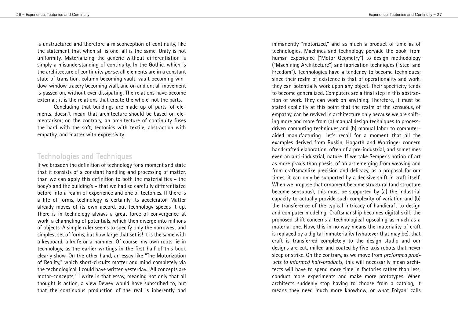is unstructured and therefore a misconception of continuity, like the statement that when all is one, all is the same. Unity is not uniformity. Materializing the generic without differentiation is simply a misunderstanding of continuity. In the Gothic, which is the architecture of continuity per se, all elements are in a constant state of transition, column becoming vault, vault becoming window, window tracery becoming wall, and on and on: all movement is passed on, without ever dissipating. The relations have become external; it is the relations that create the whole, not the parts.

Concluding that buildings are made up of parts, of elements, doesn't mean that architecture should be based on elementarism; on the contrary, an architecture of continuity fuses the hard with the soft, tectonics with textile, abstraction with empathy, and matter with expressivity.

#### Technologies and Techniques

If we broaden the definition of technology for a moment and state that it consists of a constant handling and processing of matter, than we can apply this definition to both the materialities – the body's and the building's – that we had so carefully differentiated before into a realm of experience and one of tectonics. If there is a life of forms, technology is certainly its accelerator. Matter already moves of its own accord, but technology speeds it up. There is in technology always a great force of convergence at work, a channeling of potentials, which then diverge into millions of objects. A simple ruler seems to specify only the narrowest and simplest set of forms, but how large that set is! It is the same with a keyboard, a knife or a hammer. Of course, my own roots lie in technology, as the earlier writings in the first half of this book clearly show. On the other hand, an essay like "The Motorization of Reality," which short-circuits matter and mind completely via the technological, I could have written yesterday. "All concepts are motor-concepts," I write in that essay, meaning not only that all thought is action, a view Dewey would have subscribed to, but that the continuous production of the real is inherently and immanently "motorized," and as much a product of time as of technologies. Machines and technology pervade the book, from human experience ("Motor Geometry") to design methodology ("Machining Architecture") and fabrication techniques ("Steel and Freedom"). Technologies have a tendency to become techniques; since their realm of existence is that of operationality and work, they can potentially work upon any object. Their specificity tends to become generalized. Computers are a final step in this abstraction of work. They can work on anything. Therefore, it must be stated explicitly at this point that the realm of the sensuous, of empathy, can be revived in architecture only because we are shifting more and more from (a) manual design techniques to processdriven computing techniques and (b) manual labor to computeraided manufacturing. Let's recall for a moment that all the examples derived from Ruskin, Hogarth and Worringer concern handcrafted elaboration, often of a pre-industrial, and sometimes even an anti-industrial, nature. If we take Semper's notion of art as more praxis than poesis, of an art emerging from weaving and from craftsmanlike precision and delicacy, as a proposal for our times, it can only be supported by a decisive shift in craft itself. When we propose that ornament become structural (and structure become sensuous), this must be supported by (a) the industrial capacity to actually provide such complexity of variation and (b) the transference of the typical intricacy of handicraft to design and computer modeling. Craftsmanship becomes digital skill; the proposed shift concerns a technological upscaling as much as a material one. Now, this in no way means the materiality of craft is replaced by a digital immateriality (whatever that may be), that craft is transferred completely to the design studio and our designs are cut, milled and coated by five-axis robots that never sleep or strike. On the contrary, as we move from *preformed prod*ucts to informed half-products, this will necessarily mean architects will have to spend more time in factories rather than less, conduct more experiments and make more prototypes. When architects suddenly stop having to choose from a catalog, it means they need much more knowhow, or what Polyani calls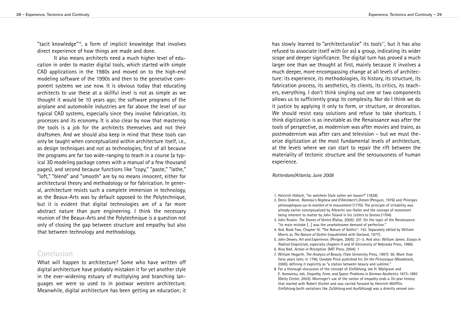"tacit knowledge"16, a form of implicit knowledge that involves direct experience of how things are made and done.

It also means architects need a much higher level of education in order to master digital tools, which started with simple CAD applications in the 1980s and moved on to the high-end modeling software of the 1990s and then to the generative component systems we use now. It is obvious today that educating architects to use these at a skillful level is not as simple as we thought it would be 10 years ago; the software programs of the airplane and automobile industries are far above the level of our typical CAD systems, especially since they involve fabrication, its processes and its economy. It is also clear by now that mastering the tools is a job for the architects themselves and not their draftsmen. And we should also keep in mind that these tools can only be taught when conceptualized within architecture itself, i.e., as design techniques and not as technologies, first of all because the programs are far too wide-ranging to teach in a course (a typical 3D modeling package comes with a manual of a few thousand pages), and second because functions like "copy," "paste," "lathe," "loft," "blend" and "smooth" are by no means innocent, either for architectural theory and methodology or for fabrication. In general, architecture resists such a complete immersion in technology, as the Beaux-Arts was by default opposed to the Polytechnique, but it is evident that digital technologies are of a far more abstract nature than pure engineering. I think the necessary reunion of the Beaux-Arts and the Polytechnique is a question not only of closing the gap between structure and empathy but also that between technology and methodology.

#### $Conclusion$

What will happen to architecture? Some who have written off digital architecture have probably mistaken it for yet another style in the ever-widening estuary of multiplying and branching languages we were so used to in postwar western architecture. Meanwhile, digital architecture has been getting an education; it has slowly learned to "architecturalize" its tools<sup>17</sup>, but it has also refused to associate itself with (or as) a group, indicating its wider scope and deeper significance. The digital turn has proved a much larger one than we thought at first, mainly because it involves a much deeper, more encompassing change at all levels of architecture: its experience, its methodologies, its history, its structure, its fabrication process, its aesthetics, its clients, its critics, its teachers, everything. I don't think singling out one or two components allows us to sufficiently grasp its complexity. Nor do I think we do it justice by applying it only to form, or structure, or decoration. We should resist easy solutions and refuse to take shortcuts. I think digitization is as inevitable as the Renaissance was after the tools of perspective, as modernism was after movies and trains, as postmodernism was after cars and television - but we must theorize digitization at the most fundamental levels of architecture, at the levels where we can start to repair the rift between the materiality of tectonic structure and the sensuousness of human experience.

#### *Rotterdam/Atlanta, June 2008*

1. Heinrich Hübsch, "Im welchem Style sollen wir bauen?" (1828).

- 2. Denis Diderot. Rameau's Nephew and D'Alembert's Dream (Penguin, 1976) and Principes philosophiques sur la matière et le mouvement (1770). The principle of irritability was already earlier conceptualized by Albrecht von Haller and the concept of movement being inherent to matter by John Toland in his Letters to Serena (1704).
- 3. John Ruskin. The Stones of Venice (Pallas, 2005): 207. On the topic of the Renaissance: "its main mistake [...] was the unwholesome demand of perfection."
- 4. Ibid. Book Two, Chapter IV, "The Nature of Gothic": 142. Separately edited by William Morris as The Nature of Gothic (republished with Garland, 1977).
- 5. John Dewey. Art and Experience. (Perigee, 2005): 21-3. And also: William James. Essays in Radical Empiricism, especially chapters II and VI (University of Nebraska Press, 1996).
- 6. Alva Noë. Action in Perception. (MIT Press, 2004): 1
- 7. William Hogarth. The Analysis of Beauty. (Yale University Press, 1997): 50. More than forty years later, in 1796, Uvedale Price published his On the Picturesque (Woodstock, 2000), defining it explicitly as "a station between beauty and sublime."
- 8. For a thorough discussion of the concept of *Einfühlung*, see H. Mallgrave and E. Ikonomou, eds. Empathy, Form, and Space: Problems in German Aesthetics 1873-1893 (Getty Center, 2003). Worringer's use of the notion of empathy ends a 35-year history that started with Robert Vischer and was carried forward by Heinrich Wölfflin. Einfühlung (with variations like Zufühlung and Ausfühlung) was a directly sensed con-